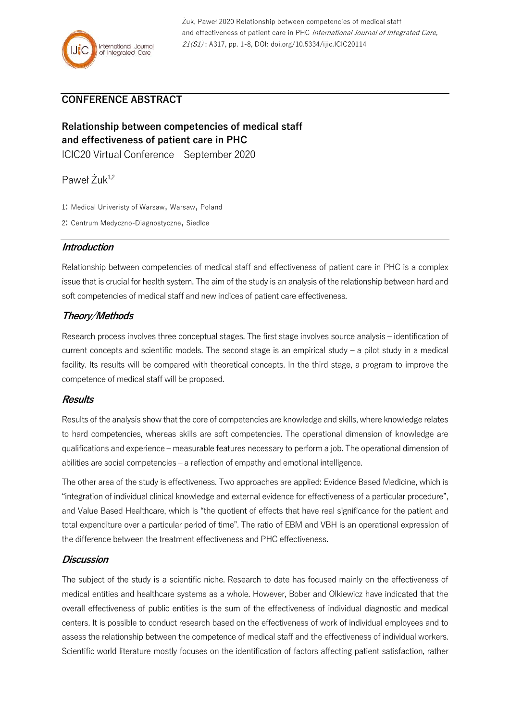## **CONFERENCE ABSTRACT**

# **Relationship between competencies of medical staff and effectiveness of patient care in PHC**

ICIC20 Virtual Conference – September 2020

Paweł Żuk<sup>1,2</sup>

- 1: Medical Univeristy of Warsaw, Warsaw, Poland
- 2: Centrum Medyczno-Diagnostyczne, Siedlce

#### **Introduction**

Relationship between competencies of medical staff and effectiveness of patient care in PHC is a complex issue that is crucial for health system. The aim of the study is an analysis of the relationship between hard and soft competencies of medical staff and new indices of patient care effectiveness.

### **Theory/Methods**

Research process involves three conceptual stages. The first stage involves source analysis – identification of current concepts and scientific models. The second stage is an empirical study – a pilot study in a medical facility. Its results will be compared with theoretical concepts. In the third stage, a program to improve the competence of medical staff will be proposed.

#### **Results**

Results of the analysis show that the core of competencies are knowledge and skills, where knowledge relates to hard competencies, whereas skills are soft competencies. The operational dimension of knowledge are qualifications and experience – measurable features necessary to perform a job. The operational dimension of abilities are social competencies – a reflection of empathy and emotional intelligence.

The other area of the study is effectiveness. Two approaches are applied: Evidence Based Medicine, which is "integration of individual clinical knowledge and external evidence for effectiveness of a particular procedure", and Value Based Healthcare, which is "the quotient of effects that have real significance for the patient and total expenditure over a particular period of time". The ratio of EBM and VBH is an operational expression of the difference between the treatment effectiveness and PHC effectiveness.

#### **Discussion**

The subject of the study is a scientific niche. Research to date has focused mainly on the effectiveness of medical entities and healthcare systems as a whole. However, Bober and Olkiewicz have indicated that the overall effectiveness of public entities is the sum of the effectiveness of individual diagnostic and medical centers. It is possible to conduct research based on the effectiveness of work of individual employees and to assess the relationship between the competence of medical staff and the effectiveness of individual workers. Scientific world literature mostly focuses on the identification of factors affecting patient satisfaction, rather